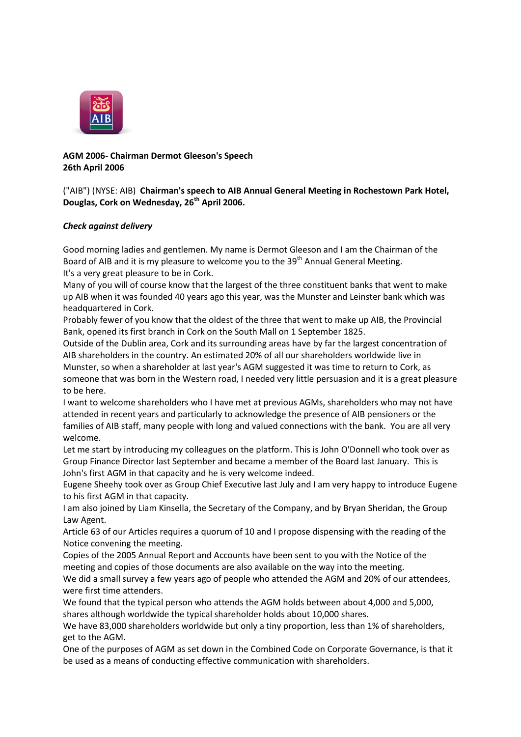

**AGM 2006- Chairman Dermot Gleeson's Speech 26th April 2006**

#### ("AIB") (NYSE: AIB) **Chairman's speech to AIB Annual General Meeting in Rochestown Park Hotel, Douglas, Cork on Wednesday, 26th April 2006.**

## *Check against delivery*

Good morning ladies and gentlemen. My name is Dermot Gleeson and I am the Chairman of the Board of AIB and it is my pleasure to welcome you to the  $39<sup>th</sup>$  Annual General Meeting. It's a very great pleasure to be in Cork.

Many of you will of course know that the largest of the three constituent banks that went to make up AIB when it was founded 40 years ago this year, was the Munster and Leinster bank which was headquartered in Cork.

Probably fewer of you know that the oldest of the three that went to make up AIB, the Provincial Bank, opened its first branch in Cork on the South Mall on 1 September 1825.

Outside of the Dublin area, Cork and its surrounding areas have by far the largest concentration of AIB shareholders in the country. An estimated 20% of all our shareholders worldwide live in Munster, so when a shareholder at last year's AGM suggested it was time to return to Cork, as someone that was born in the Western road, I needed very little persuasion and it is a great pleasure to be here.

I want to welcome shareholders who I have met at previous AGMs, shareholders who may not have attended in recent years and particularly to acknowledge the presence of AIB pensioners or the families of AIB staff, many people with long and valued connections with the bank. You are all very welcome.

Let me start by introducing my colleagues on the platform. This is John O'Donnell who took over as Group Finance Director last September and became a member of the Board last January. This is John's first AGM in that capacity and he is very welcome indeed.

Eugene Sheehy took over as Group Chief Executive last July and I am very happy to introduce Eugene to his first AGM in that capacity.

I am also joined by Liam Kinsella, the Secretary of the Company, and by Bryan Sheridan, the Group Law Agent.

Article 63 of our Articles requires a quorum of 10 and I propose dispensing with the reading of the Notice convening the meeting.

Copies of the 2005 Annual Report and Accounts have been sent to you with the Notice of the meeting and copies of those documents are also available on the way into the meeting.

We did a small survey a few years ago of people who attended the AGM and 20% of our attendees, were first time attenders.

We found that the typical person who attends the AGM holds between about 4,000 and 5,000, shares although worldwide the typical shareholder holds about 10,000 shares.

We have 83,000 shareholders worldwide but only a tiny proportion, less than 1% of shareholders, get to the AGM.

One of the purposes of AGM as set down in the Combined Code on Corporate Governance, is that it be used as a means of conducting effective communication with shareholders.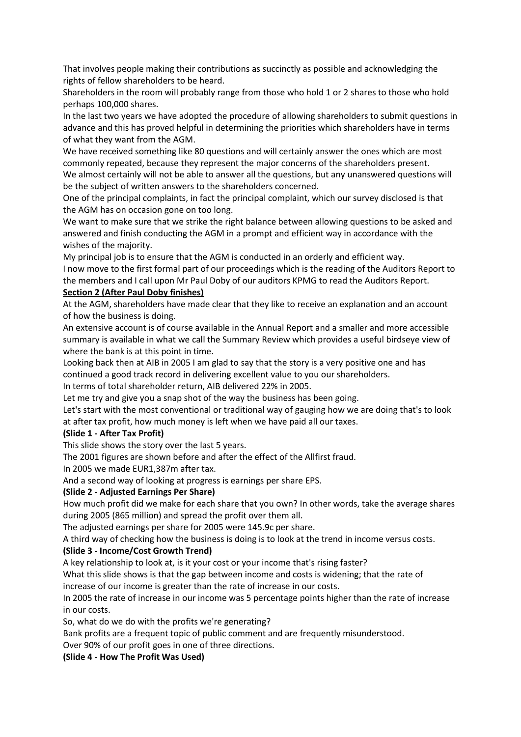That involves people making their contributions as succinctly as possible and acknowledging the rights of fellow shareholders to be heard.

Shareholders in the room will probably range from those who hold 1 or 2 shares to those who hold perhaps 100,000 shares.

In the last two years we have adopted the procedure of allowing shareholders to submit questions in advance and this has proved helpful in determining the priorities which shareholders have in terms of what they want from the AGM.

We have received something like 80 questions and will certainly answer the ones which are most commonly repeated, because they represent the major concerns of the shareholders present. We almost certainly will not be able to answer all the questions, but any unanswered questions will

be the subject of written answers to the shareholders concerned.

One of the principal complaints, in fact the principal complaint, which our survey disclosed is that the AGM has on occasion gone on too long.

We want to make sure that we strike the right balance between allowing questions to be asked and answered and finish conducting the AGM in a prompt and efficient way in accordance with the wishes of the majority.

My principal job is to ensure that the AGM is conducted in an orderly and efficient way.

I now move to the first formal part of our proceedings which is the reading of the Auditors Report to the members and I call upon Mr Paul Doby of our auditors KPMG to read the Auditors Report.

## **Section 2 (After Paul Doby finishes)**

At the AGM, shareholders have made clear that they like to receive an explanation and an account of how the business is doing.

An extensive account is of course available in the Annual Report and a smaller and more accessible summary is available in what we call the Summary Review which provides a useful birdseye view of where the bank is at this point in time.

Looking back then at AIB in 2005 I am glad to say that the story is a very positive one and has continued a good track record in delivering excellent value to you our shareholders.

In terms of total shareholder return, AIB delivered 22% in 2005.

Let me try and give you a snap shot of the way the business has been going.

Let's start with the most conventional or traditional way of gauging how we are doing that's to look at after tax profit, how much money is left when we have paid all our taxes.

## **(Slide 1 - After Tax Profit)**

This slide shows the story over the last 5 years.

The 2001 figures are shown before and after the effect of the Allfirst fraud.

In 2005 we made EUR1,387m after tax.

And a second way of looking at progress is earnings per share EPS.

## **(Slide 2 - Adjusted Earnings Per Share)**

How much profit did we make for each share that you own? In other words, take the average shares during 2005 (865 million) and spread the profit over them all.

The adjusted earnings per share for 2005 were 145.9c per share.

A third way of checking how the business is doing is to look at the trend in income versus costs.

## **(Slide 3 - Income/Cost Growth Trend)**

A key relationship to look at, is it your cost or your income that's rising faster?

What this slide shows is that the gap between income and costs is widening; that the rate of increase of our income is greater than the rate of increase in our costs.

In 2005 the rate of increase in our income was 5 percentage points higher than the rate of increase in our costs.

So, what do we do with the profits we're generating?

Bank profits are a frequent topic of public comment and are frequently misunderstood.

Over 90% of our profit goes in one of three directions.

**(Slide 4 - How The Profit Was Used)**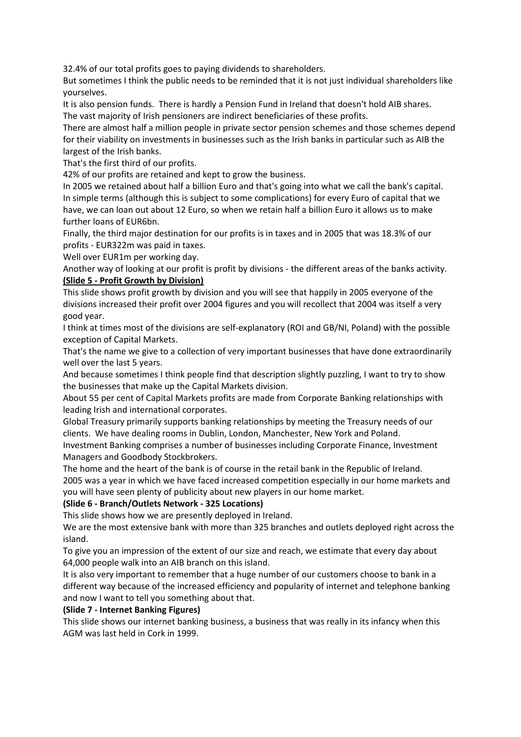32.4% of our total profits goes to paying dividends to shareholders.

But sometimes I think the public needs to be reminded that it is not just individual shareholders like yourselves.

It is also pension funds. There is hardly a Pension Fund in Ireland that doesn't hold AIB shares. The vast majority of Irish pensioners are indirect beneficiaries of these profits.

There are almost half a million people in private sector pension schemes and those schemes depend for their viability on investments in businesses such as the Irish banks in particular such as AIB the largest of the Irish banks.

That's the first third of our profits.

42% of our profits are retained and kept to grow the business.

In 2005 we retained about half a billion Euro and that's going into what we call the bank's capital. In simple terms (although this is subject to some complications) for every Euro of capital that we have, we can loan out about 12 Euro, so when we retain half a billion Euro it allows us to make further loans of EUR6bn.

Finally, the third major destination for our profits is in taxes and in 2005 that was 18.3% of our profits - EUR322m was paid in taxes.

Well over EUR1m per working day.

Another way of looking at our profit is profit by divisions - the different areas of the banks activity. **(Slide 5 - Profit Growth by Division)**

This slide shows profit growth by division and you will see that happily in 2005 everyone of the divisions increased their profit over 2004 figures and you will recollect that 2004 was itself a very good year.

I think at times most of the divisions are self-explanatory (ROI and GB/NI, Poland) with the possible exception of Capital Markets.

That's the name we give to a collection of very important businesses that have done extraordinarily well over the last 5 years.

And because sometimes I think people find that description slightly puzzling, I want to try to show the businesses that make up the Capital Markets division.

About 55 per cent of Capital Markets profits are made from Corporate Banking relationships with leading Irish and international corporates.

Global Treasury primarily supports banking relationships by meeting the Treasury needs of our clients. We have dealing rooms in Dublin, London, Manchester, New York and Poland.

Investment Banking comprises a number of businesses including Corporate Finance, Investment Managers and Goodbody Stockbrokers.

The home and the heart of the bank is of course in the retail bank in the Republic of Ireland. 2005 was a year in which we have faced increased competition especially in our home markets and you will have seen plenty of publicity about new players in our home market.

## **(Slide 6 - Branch/Outlets Network - 325 Locations)**

This slide shows how we are presently deployed in Ireland.

We are the most extensive bank with more than 325 branches and outlets deployed right across the island.

To give you an impression of the extent of our size and reach, we estimate that every day about 64,000 people walk into an AIB branch on this island.

It is also very important to remember that a huge number of our customers choose to bank in a different way because of the increased efficiency and popularity of internet and telephone banking and now I want to tell you something about that.

#### **(Slide 7 - Internet Banking Figures)**

This slide shows our internet banking business, a business that was really in its infancy when this AGM was last held in Cork in 1999.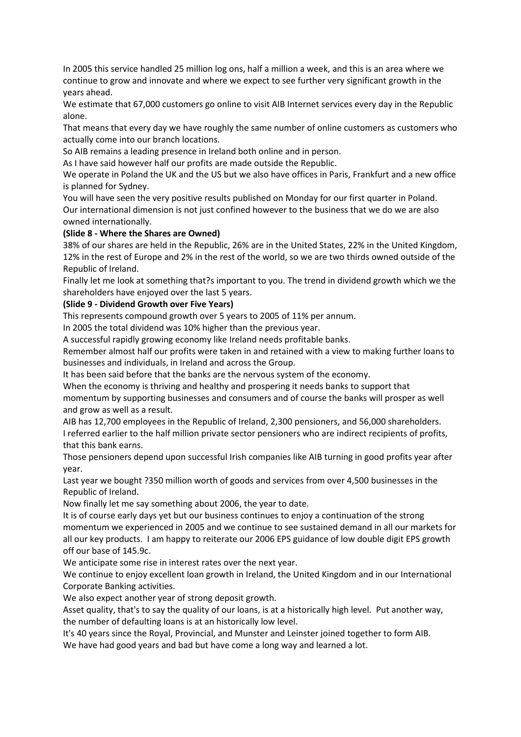In 2005 this service handled 25 million log ons, half a million a week, and this is an area where we continue to grow and innovate and where we expect to see further very significant growth in the years ahead.

We estimate that 67,000 customers go online to visit AIB Internet services every day in the Republic alone.

That means that every day we have roughly the same number of online customers as customers who actually come into our branch locations.

So AIB remains a leading presence in Ireland both online and in person.

As I have said however half our profits are made outside the Republic.

We operate in Poland the UK and the US but we also have offices in Paris, Frankfurt and a new office is planned for Sydney.

You will have seen the very positive results published on Monday for our first quarter in Poland. Our international dimension is not just confined however to the business that we do we are also owned internationally.

## **(Slide 8 - Where the Shares are Owned)**

38% of our shares are held in the Republic, 26% are in the United States, 22% in the United Kingdom, 12% in the rest of Europe and 2% in the rest of the world, so we are two thirds owned outside of the Republic of Ireland.

Finally let me look at something that?s important to you. The trend in dividend growth which we the shareholders have enjoyed over the last 5 years.

# **(Slide 9 - Dividend Growth over Five Years)**

This represents compound growth over 5 years to 2005 of 11% per annum.

In 2005 the total dividend was 10% higher than the previous year.

A successful rapidly growing economy like Ireland needs profitable banks.

Remember almost half our profits were taken in and retained with a view to making further loans to businesses and individuals, in Ireland and across the Group.

It has been said before that the banks are the nervous system of the economy.

When the economy is thriving and healthy and prospering it needs banks to support that momentum by supporting businesses and consumers and of course the banks will prosper as well and grow as well as a result.

AIB has 12,700 employees in the Republic of Ireland, 2,300 pensioners, and 56,000 shareholders. I referred earlier to the half million private sector pensioners who are indirect recipients of profits, that this bank earns.

Those pensioners depend upon successful Irish companies like AIB turning in good profits year after year.

Last year we bought ?350 million worth of goods and services from over 4,500 businesses in the Republic of Ireland.

Now finally let me say something about 2006, the year to date.

It is of course early days yet but our business continues to enjoy a continuation of the strong momentum we experienced in 2005 and we continue to see sustained demand in all our markets for all our key products. I am happy to reiterate our 2006 EPS guidance of low double digit EPS growth off our base of 145.9c.

We anticipate some rise in interest rates over the next year.

We continue to enjoy excellent loan growth in Ireland, the United Kingdom and in our International Corporate Banking activities.

We also expect another year of strong deposit growth.

Asset quality, that's to say the quality of our loans, is at a historically high level. Put another way, the number of defaulting loans is at an historically low level.

It's 40 years since the Royal, Provincial, and Munster and Leinster joined together to form AIB.

We have had good years and bad but have come a long way and learned a lot.